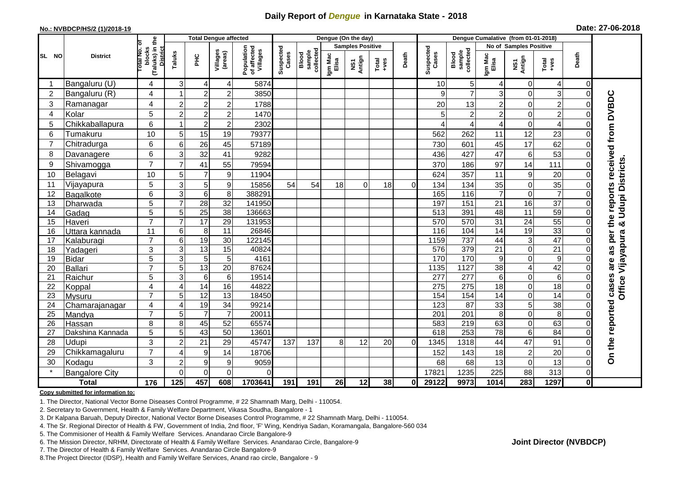## **Daily Report of** *Dengue* **in Karnataka State - 2018**

#### **No.: NVBDCP/HS/2 (1)/2018-19**

| Date: 27-06-2018 |  |  |  |  |
|------------------|--|--|--|--|
|------------------|--|--|--|--|

|                        |                       |                                                   |                |                  | <b>Total Dengue affected</b> |                                       |                    |                              |                  | Dengue (On the day)     |                  |                | Dengue Cumalative (from 01-01-2018) |                              |                  |                        |                  |                |                                 |
|------------------------|-----------------------|---------------------------------------------------|----------------|------------------|------------------------------|---------------------------------------|--------------------|------------------------------|------------------|-------------------------|------------------|----------------|-------------------------------------|------------------------------|------------------|------------------------|------------------|----------------|---------------------------------|
|                        |                       | ō                                                 |                |                  |                              |                                       |                    |                              |                  | <b>Samples Positive</b> |                  |                |                                     |                              |                  | No of Samples Positive |                  |                |                                 |
| <b>SL</b><br><b>NO</b> | <b>District</b>       | (Taluks) in the<br>District<br>blocks<br>otal No. | Taluks         | È                | Villages<br>(areas)          | Population<br>of affected<br>Villages | Suspected<br>Cases | sample<br>collected<br>Blood | Igm Mac<br>Elisa | NS1<br>Antign           | Total<br>$+ve$ s | Death          | Suspected<br>Cases                  | collected<br>Blood<br>sample | Igm Mac<br>Elisa | NS1<br>Antign          | Total<br>+ves    | Death          |                                 |
| -1                     | Bangaluru (U)         | 4                                                 | 3              | 4                | 4                            | 5874                                  |                    |                              |                  |                         |                  |                | 10                                  | 5 <sup>1</sup>               | 4                | 0                      | $\overline{4}$   | $\overline{0}$ |                                 |
| $\overline{2}$         | Bangaluru (R)         | 4                                                 |                | $\overline{2}$   | $\overline{2}$               | 3850                                  |                    |                              |                  |                         |                  |                | q                                   | $\overline{7}$               | 3                | $\Omega$               | 3                | $\Omega$       |                                 |
| 3                      | Ramanagar             | 4                                                 | $\overline{c}$ | $\sqrt{2}$       | $\overline{c}$               | 1788                                  |                    |                              |                  |                         |                  |                | 20                                  | 13                           | $\overline{2}$   | 0                      | $\overline{2}$   | 0              | the reports received from DVBDC |
| 4                      | Kolar                 | 5                                                 | $\overline{c}$ | $\overline{c}$   | $\overline{c}$               | 1470                                  |                    |                              |                  |                         |                  |                |                                     | $\overline{2}$               | $\overline{c}$   | 0                      | $\overline{c}$   | O              |                                 |
| 5                      | Chikkaballapura       | 6                                                 | 1              | $\boldsymbol{2}$ | $\overline{2}$               | 2302                                  |                    |                              |                  |                         |                  |                |                                     | 4                            | 4                | $\boldsymbol{0}$       | $\overline{4}$   |                |                                 |
| 6                      | Tumakuru              | 10                                                | 5              | 15               | 19                           | 79377                                 |                    |                              |                  |                         |                  |                | 562                                 | 262                          | 11               | 12                     | 23               | 0              |                                 |
| $\overline{7}$         | Chitradurga           | 6                                                 | 6              | $\overline{26}$  | 45                           | 57189                                 |                    |                              |                  |                         |                  |                | 730                                 | 601                          | 45               | 17                     | 62               | O              |                                 |
| 8                      | Davanagere            | 6                                                 | 3              | 32               | 41                           | 9282                                  |                    |                              |                  |                         |                  |                | 436                                 | 427                          | 47               | 6                      | 53               | 0              |                                 |
| 9                      | Shivamogga            | $\overline{7}$                                    | $\overline{7}$ | 41               | 55                           | 79594                                 |                    |                              |                  |                         |                  |                | 370                                 | 186                          | 97               | 14                     | 111              |                |                                 |
| 10                     | Belagavi              | 10                                                | 5              | $\overline{7}$   | 9                            | 11904                                 |                    |                              |                  |                         |                  |                | 624                                 | 357                          | 11               | 9                      | 20               | 0              | <b>Udupi Districts</b>          |
| 11                     | Vijayapura            | 5                                                 | 3              | $\mathbf 5$      | 9                            | 15856                                 | 54                 | 54                           | 18               | $\Omega$                | 18               | $\overline{0}$ | 134                                 | 134                          | 35               | $\mathbf 0$            | 35               | $\Omega$       |                                 |
| 12                     | Bagalkote             | 6                                                 | 3              | $\overline{6}$   | 8                            | 388291                                |                    |                              |                  |                         |                  |                | 165                                 | 116                          | 7                | $\mathbf 0$            | $\overline{7}$   | 0              |                                 |
| 13                     | Dharwada              | 5                                                 | $\overline{7}$ | $\overline{28}$  | 32                           | 141950                                |                    |                              |                  |                         |                  |                | 197                                 | 151                          | 21               | 16                     | $\overline{37}$  | 0              |                                 |
| 14                     | Gadag                 | 5                                                 | 5              | $\overline{25}$  | 38                           | 136663                                |                    |                              |                  |                         |                  |                | 513                                 | 391                          | 48               | 11                     | 59               | 0              |                                 |
| 15                     | Haveri                | $\overline{7}$                                    | $\overline{7}$ | $\overline{17}$  | 29                           | 131953                                |                    |                              |                  |                         |                  |                | 570                                 | 570                          | 31               | $\overline{24}$        | $\overline{55}$  |                | ಯ                               |
| 16                     | Uttara kannada        | 11                                                | 6              | $\,8\,$          | $\overline{11}$              | 26846                                 |                    |                              |                  |                         |                  |                | 116                                 | 104                          | 14               | 19                     | 33               |                | per                             |
| 17                     | Kalaburagi            | $\overline{7}$                                    | 6              | $\overline{19}$  | 30                           | 122145                                |                    |                              |                  |                         |                  |                | 1159                                | 737                          | 44               | 3                      | 47               |                | <b>Dffice Vijayapura</b>        |
| 18                     | Yadageri              | 3                                                 | 3              | 13               | 15                           | 40824                                 |                    |                              |                  |                         |                  |                | 576                                 | 379                          | 21               | $\mathbf 0$            | 21               |                | as                              |
| 19                     | <b>Bidar</b>          | 5                                                 | 3              | $\sqrt{5}$       | 5                            | 4161                                  |                    |                              |                  |                         |                  |                | 170                                 | 170                          | 9                | $\mathbf 0$            | $\boldsymbol{9}$ |                | are                             |
| 20                     | Ballari               | $\overline{7}$                                    | 5              | 13               | $\overline{20}$              | 87624                                 |                    |                              |                  |                         |                  |                | 1135                                | 1127                         | $\overline{38}$  | 4                      | 42               |                |                                 |
| 21                     | Raichur               | 5                                                 | 3              | $\overline{6}$   | $\,6$                        | 19514                                 |                    |                              |                  |                         |                  |                | 277                                 | 277                          | 6                | $\mathbf 0$            | $\,6$            |                |                                 |
| 22                     | Koppal                | 4                                                 | 4              | 14               | 16                           | 44822                                 |                    |                              |                  |                         |                  |                | 275                                 | 275                          | 18               | $\mathbf 0$            | 18               | 0              |                                 |
| 23                     | Mysuru                | $\overline{7}$                                    | 5              | 12               | 13                           | 18450                                 |                    |                              |                  |                         |                  |                | 154                                 | 154                          | 14               | $\mathbf 0$            | 14               | $\Omega$       |                                 |
| 24                     | Chamarajanagar        | 4                                                 | $\overline{4}$ | 19               | 34                           | 99214                                 |                    |                              |                  |                         |                  |                | 123                                 | $\overline{87}$              | 33               | 5                      | $\overline{38}$  | $\Omega$       |                                 |
| 25                     | Mandya                | $\overline{7}$                                    | 5              | $\overline{7}$   | $\overline{7}$               | 20011                                 |                    |                              |                  |                         |                  |                | 201                                 | $\overline{201}$             | 8                | $\overline{0}$         | $\overline{8}$   | 0              |                                 |
| 26                     | Hassan                | 8                                                 | 8              | 45               | 52                           | 65574                                 |                    |                              |                  |                         |                  |                | 583                                 | 219                          | 63               | $\mathbf 0$            | 63               | 0              |                                 |
| 27                     | Dakshina Kannada      | 5                                                 | 5              | 43               | $\overline{50}$              | 13601                                 |                    |                              |                  |                         |                  |                | 618                                 | 253                          | 78               | $\overline{6}$         | $\overline{84}$  | 0              |                                 |
| 28                     | Udupi                 | 3                                                 | $\overline{c}$ | 21               | 29                           | 45747                                 | 137                | 137                          | 8                | 12                      | 20               | 0              | 1345                                | 1318                         | 44               | 47                     | 91               |                |                                 |
| 29                     | Chikkamagaluru        | $\overline{7}$                                    | 4              | $\boldsymbol{9}$ | 14                           | 18706                                 |                    |                              |                  |                         |                  |                | 152                                 | 143                          | 18               | $\overline{c}$         | 20               | 0              | On the reported cases           |
| 30                     | Kodagu                | 3                                                 | $\overline{2}$ | $\boldsymbol{9}$ | 9                            | 9059                                  |                    |                              |                  |                         |                  |                | 68                                  | 68                           | 13               | $\pmb{0}$              | 13               | 0              |                                 |
|                        | <b>Bangalore City</b> |                                                   | $\Omega$       | $\mathbf 0$      | $\mathbf 0$                  | $\Omega$                              |                    |                              |                  |                         |                  |                | 1782                                | 1235                         | 225              | 88                     | 313              | $\overline{0}$ |                                 |
|                        | <b>Total</b>          | 176                                               | 125            | 457              | 608                          | 1703641                               | 191                | 191                          | 26               | 12                      | 38               | 01             | 29122                               | 9973                         | 1014             | 283                    | 1297             | 0              |                                 |

#### **Copy submitted for information to:**

1. The Director, National Vector Borne Diseases Control Programme, # 22 Shamnath Marg, Delhi - 110054.

2. Secretary to Government, Health & Family Welfare Department, Vikasa Soudha, Bangalore - 1

3. Dr Kalpana Baruah, Deputy Director, National Vector Borne Diseases Control Programme, # 22 Shamnath Marg, Delhi - 110054.

- 4. The Sr. Regional Director of Health & FW, Government of India, 2nd floor, 'F' Wing, Kendriya Sadan, Koramangala, Bangalore-560 034
- 5. The Commisioner of Health & Family Welfare Services. Anandarao Circle Bangalore-9
- 6. The Mission Director, NRHM, Directorate of Health & Family Welfare Services. Anandarao Circle, Bangalore-9

7. The Director of Health & Family Welfare Services. Anandarao Circle Bangalore-9

8.The Project Director (IDSP), Health and Family Welfare Services, Anand rao circle, Bangalore - 9